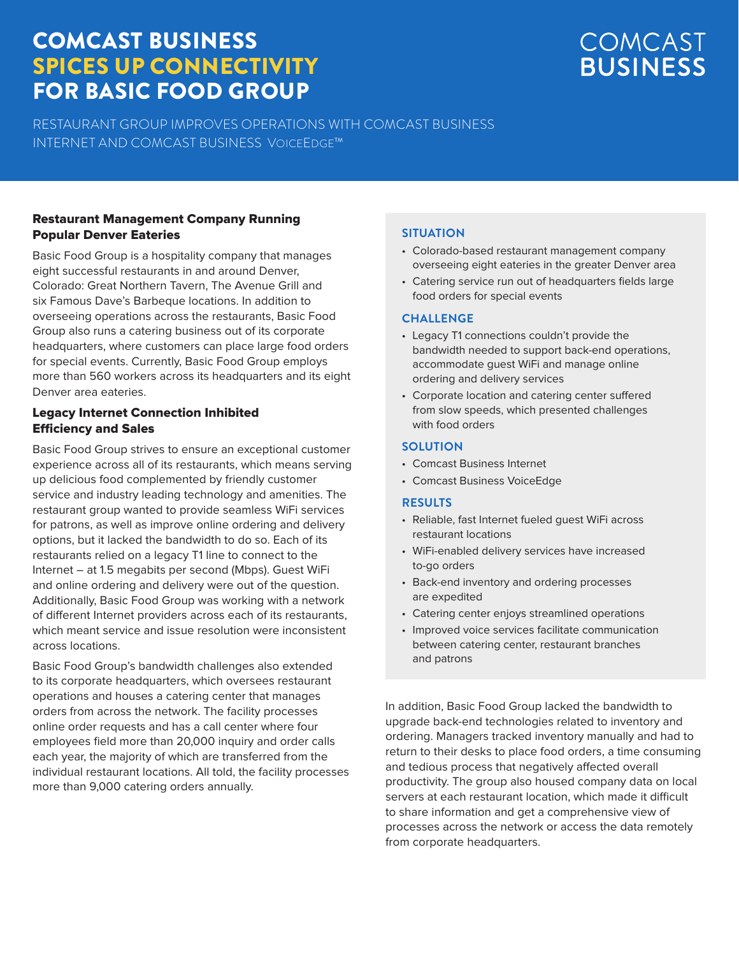## COMCAST BUSINESS SPICES UP CONNECTIVITY FOR BASIC FOOD GROUP

RESTAURANT GROUP IMPROVES OPERATIONS WITH COMCAST BUSINESS INTERNET AND COMCAST BUSINESS VOICEEDGE™

#### Restaurant Management Company Running Popular Denver Eateries

Basic Food Group is a hospitality company that manages eight successful restaurants in and around Denver, Colorado: Great Northern Tavern, The Avenue Grill and six Famous Dave's Barbeque locations. In addition to overseeing operations across the restaurants, Basic Food Group also runs a catering business out of its corporate headquarters, where customers can place large food orders for special events. Currently, Basic Food Group employs more than 560 workers across its headquarters and its eight Denver area eateries.

#### Legacy Internet Connection Inhibited Efficiency and Sales

Basic Food Group strives to ensure an exceptional customer experience across all of its restaurants, which means serving up delicious food complemented by friendly customer service and industry leading technology and amenities. The restaurant group wanted to provide seamless WiFi services for patrons, as well as improve online ordering and delivery options, but it lacked the bandwidth to do so. Each of its restaurants relied on a legacy T1 line to connect to the Internet – at 1.5 megabits per second (Mbps). Guest WiFi and online ordering and delivery were out of the question. Additionally, Basic Food Group was working with a network of different Internet providers across each of its restaurants, which meant service and issue resolution were inconsistent across locations.

Basic Food Group's bandwidth challenges also extended to its corporate headquarters, which oversees restaurant operations and houses a catering center that manages orders from across the network. The facility processes online order requests and has a call center where four employees field more than 20,000 inquiry and order calls each year, the majority of which are transferred from the individual restaurant locations. All told, the facility processes more than 9,000 catering orders annually.

### **SITUATION**

- Colorado-based restaurant management company overseeing eight eateries in the greater Denver area
- Catering service run out of headquarters fields large food orders for special events

#### **CHALLENGE**

- Legacy T1 connections couldn't provide the bandwidth needed to support back-end operations, accommodate guest WiFi and manage online ordering and delivery services
- Corporate location and catering center suffered from slow speeds, which presented challenges with food orders

#### **SOLUTION**

- Comcast Business Internet
- Comcast Business VoiceEdge

#### **RESULTS**

- Reliable, fast Internet fueled guest WiFi across restaurant locations
- WiFi-enabled delivery services have increased to-go orders
- Back-end inventory and ordering processes are expedited
- Catering center enjoys streamlined operations
- Improved voice services facilitate communication between catering center, restaurant branches and patrons

In addition, Basic Food Group lacked the bandwidth to upgrade back-end technologies related to inventory and ordering. Managers tracked inventory manually and had to return to their desks to place food orders, a time consuming and tedious process that negatively affected overall productivity. The group also housed company data on local servers at each restaurant location, which made it difficult to share information and get a comprehensive view of processes across the network or access the data remotely from corporate headquarters.

# COMCAST **BUSINESS**